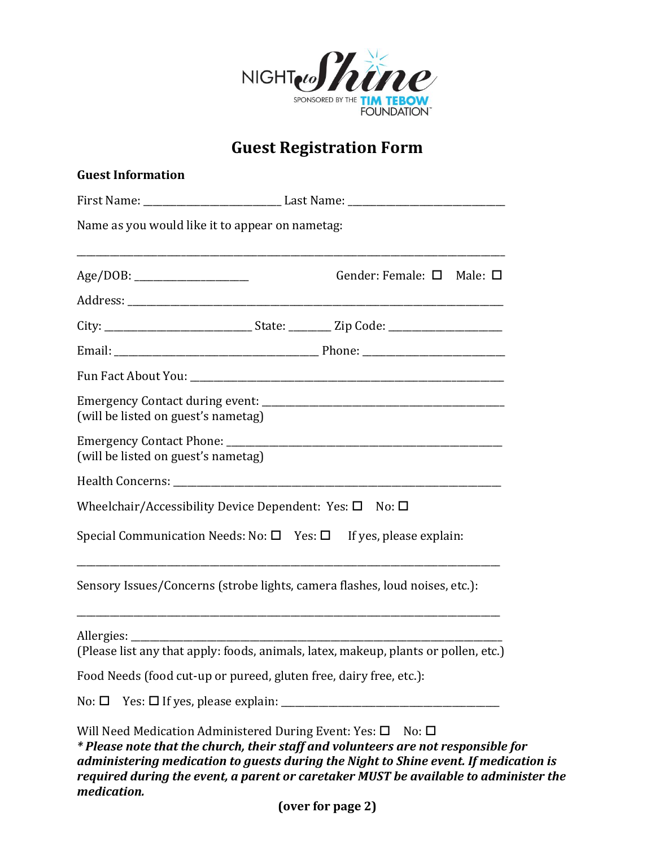

## **Guest Registration Form**

| <b>Guest Information</b>                                                                    |                                                                                                                                                                                                                                                                   |
|---------------------------------------------------------------------------------------------|-------------------------------------------------------------------------------------------------------------------------------------------------------------------------------------------------------------------------------------------------------------------|
|                                                                                             |                                                                                                                                                                                                                                                                   |
| Name as you would like it to appear on nametag:                                             |                                                                                                                                                                                                                                                                   |
|                                                                                             | Gender: Female: $\square$ Male: $\square$                                                                                                                                                                                                                         |
|                                                                                             |                                                                                                                                                                                                                                                                   |
|                                                                                             |                                                                                                                                                                                                                                                                   |
|                                                                                             |                                                                                                                                                                                                                                                                   |
|                                                                                             |                                                                                                                                                                                                                                                                   |
| (will be listed on guest's nametag)                                                         |                                                                                                                                                                                                                                                                   |
| (will be listed on guest's nametag)                                                         |                                                                                                                                                                                                                                                                   |
|                                                                                             |                                                                                                                                                                                                                                                                   |
| Wheelchair/Accessibility Device Dependent: Yes: $\square$ No: $\square$                     |                                                                                                                                                                                                                                                                   |
|                                                                                             | Special Communication Needs: No: $\square$ Yes: $\square$ If yes, please explain:                                                                                                                                                                                 |
|                                                                                             | Sensory Issues/Concerns (strobe lights, camera flashes, loud noises, etc.):                                                                                                                                                                                       |
|                                                                                             | (Please list any that apply: foods, animals, latex, makeup, plants or pollen, etc.)                                                                                                                                                                               |
| Food Needs (food cut-up or pureed, gluten free, dairy free, etc.):                          |                                                                                                                                                                                                                                                                   |
|                                                                                             |                                                                                                                                                                                                                                                                   |
|                                                                                             |                                                                                                                                                                                                                                                                   |
| Will Need Medication Administered During Event: Yes: $\square$ No: $\square$<br>medication. | * Please note that the church, their staff and volunteers are not responsible for<br>administering medication to guests during the Night to Shine event. If medication is<br>required during the event, a parent or caretaker MUST be available to administer the |